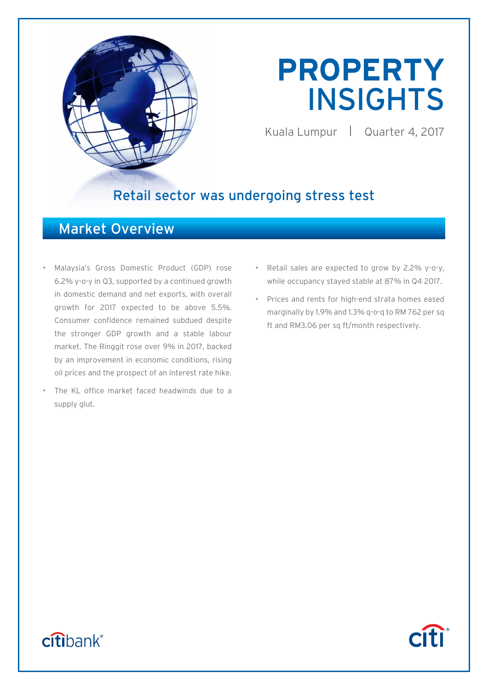

# **PROPERTY**  INSIGHTS

Kuala Lumpur | Quarter 4, 2017

**Citi** 

# Retail sector was undergoing stress test

# Market Overview

- Malaysia's Gross Domestic Product (GDP) rose 6.2% y-o-y in Q3, supported by a continued growth in domestic demand and net exports, with overall growth for 2017 expected to be above 5.5%. Consumer confidence remained subdued despite the stronger GDP growth and a stable labour market. The Ringgit rose over 9% in 2017, backed by an improvement in economic conditions, rising oil prices and the prospect of an interest rate hike.
- The KL office market faced headwinds due to a supply glut.
- Retail sales are expected to grow by 2.2% y-o-y, while occupancy stayed stable at 87% in Q4 2017.
- Prices and rents for high-end strata homes eased marginally by 1.9% and 1.3% q-o-q to RM 762 per sq ft and RM3.06 per sq ft/month respectively.

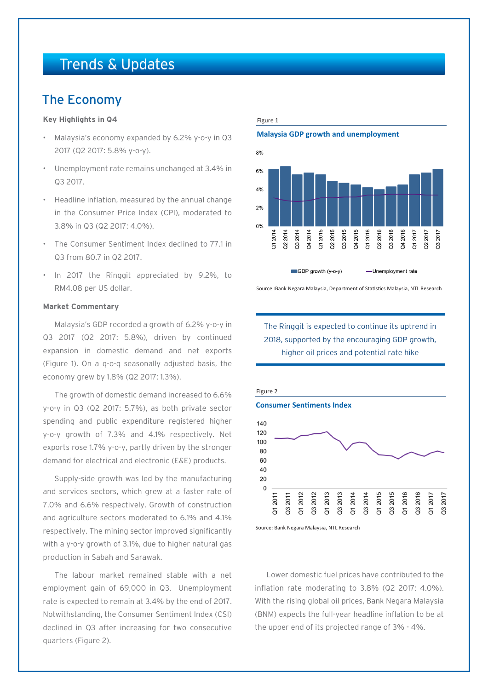# Trends & Updates

# The Economy

#### **Key Highlights in Q4**

- Malaysia's economy expanded by 6.2% y-o-y in Q3 2017 (Q2 2017: 5.8% y-o-y).
- Unemployment rate remains unchanged at 3.4% in Q3 2017.
- Headline inflation, measured by the annual change in the Consumer Price Index (CPI), moderated to 3.8% in Q3 (Q2 2017: 4.0%).
- The Consumer Sentiment Index declined to 77.1 in Q3 from 80.7 in Q2 2017.
- In 2017 the Ringgit appreciated by 9.2%, to RM4.08 per US dollar.

#### **Market Commentary**

Malaysia's GDP recorded a growth of 6.2% y-o-y in Q3 2017 (Q2 2017: 5.8%), driven by continued expansion in domestic demand and net exports (Figure 1). On a q-o-q seasonally adjusted basis, the economy grew by 1.8% (Q2 2017: 1.3%).

The growth of domestic demand increased to 6.6% y-o-y in Q3 (Q2 2017: 5.7%), as both private sector spending and public expenditure registered higher y-o-y growth of 7.3% and 4.1% respectively. Net exports rose 1.7% y-o-y, partly driven by the stronger demand for electrical and electronic (E&E) products.

Supply-side growth was led by the manufacturing and services sectors, which grew at a faster rate of 7.0% and 6.6% respectively. Growth of construction and agriculture sectors moderated to 6.1% and 4.1% respectively. The mining sector improved significantly with a y-o-y growth of 3.1%, due to higher natural gas production in Sabah and Sarawak.

The labour market remained stable with a net employment gain of 69,000 in Q3. Unemployment rate is expected to remain at 3.4% by the end of 2017. Notwithstanding, the Consumer Sentiment Index (CSI) declined in Q3 after increasing for two consecutive quarters (Figure 2).

#### Figure 1

#### **Malaysia GDP growth and unemployment**



Source :Bank Negara Malaysia, Department of Statistics Malaysia, NTL Research

### The Ringgit is expected to continue its uptrend in 2018, supported by the encouraging GDP growth, higher oil prices and potential rate hike



Source: Bank Negara Malaysia, NTL Research

Lower domestic fuel prices have contributed to the inflation rate moderating to 3.8% (Q2 2017: 4.0%). With the rising global oil prices, Bank Negara Malaysia (BNM) expects the full-year headline inflation to be at the upper end of its projected range of 3% - 4%.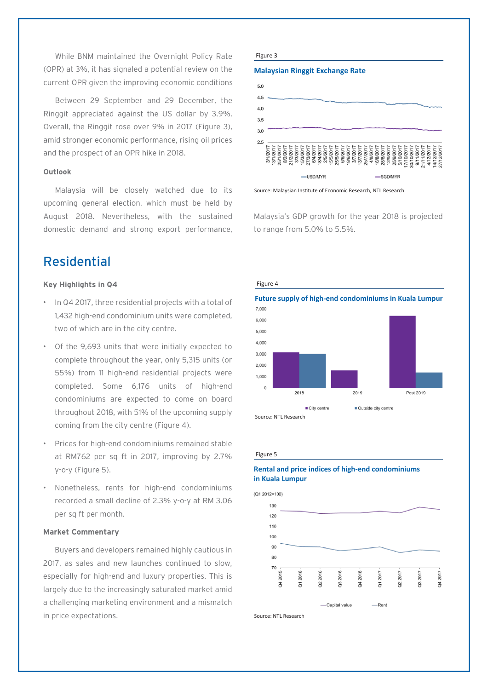While BNM maintained the Overnight Policy Rate (OPR) at 3%, it has signaled a potential review on the current OPR given the improving economic conditions

Between 29 September and 29 December, the Ringgit appreciated against the US dollar by 3.9%. Overall, the Ringgit rose over 9% in 2017 (Figure 3), amid stronger economic performance, rising oil prices and the prospect of an OPR hike in 2018.

#### **Outlook**

Malaysia will be closely watched due to its upcoming general election, which must be held by August 2018. Nevertheless, with the sustained domestic demand and strong export performance,

# Residential

#### **Key Highlights in Q4**

- In Q4 2017, three residential projects with a total of 1,432 high-end condominium units were completed, two of which are in the city centre.
- Of the 9,693 units that were initially expected to complete throughout the year, only 5,315 units (or 55%) from 11 high-end residential projects were completed. Some 6,176 units of high-end condominiums are expected to come on board throughout 2018, with 51% of the upcoming supply coming from the city centre (Figure 4).
- Prices for high-end condominiums remained stable at RM762 per sq ft in 2017, improving by 2.7% y-o-y (Figure 5).
- Nonetheless, rents for high-end condominiums recorded a small decline of 2.3% y-o-y at RM 3.06 per sq ft per month.

#### **Market Commentary**

Buyers and developers remained highly cautious in 2017, as sales and new launches continued to slow, especially for high-end and luxury properties. This is largely due to the increasingly saturated market amid a challenging marketing environment and a mismatch in price expectations.

#### Figure 3

#### **Malaysian Ringgit Exchange Rate**



Source: Malaysian Institute of Economic Research, NTL Research

Malaysia's GDP growth for the year 2018 is projected to range from 5.0% to 5.5%.



#### Figure 5

#### **Rental and price indices of high-end condominiums in Kuala Lumpur**



Source: NTL Research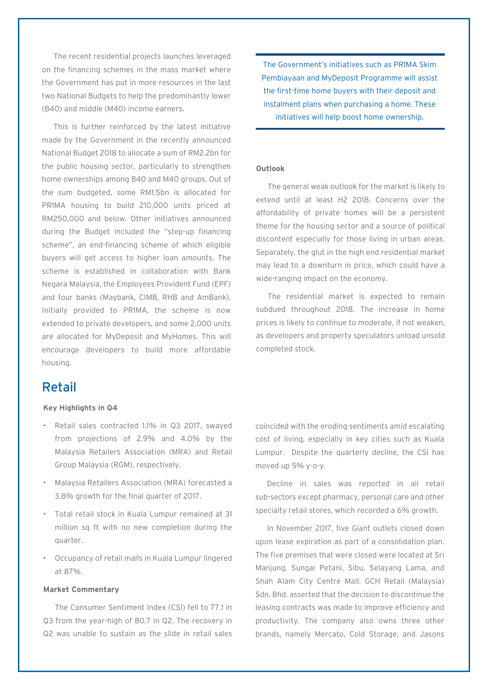The recent residential projects launches leveraged on the financing schemes in the mass market where the Government has put in more resources in the last two National Budgets to help the predominantly lower (B40) and middle (M40) income earners.

This is further reinforced by the latest initiative made by the Government in the recently announced National Budget 2018 to allocate a sum of RM2.2bn for the public housing sector, particularly to strengthen home ownerships among B40 and M40 groups. Out of the sum budgeted, some RM1.5bn is allocated for PR1MA housing to build 210,000 units priced at RM250,000 and below. Other initiatives announced during the Budget included the "step-up financing scheme", an end-financing scheme of which eligible buyers will get access to higher loan amounts. The scheme is established in collaboration with Bank Negara Malaysia, the Employees Provident Fund (EPF) and four banks (Maybank, CIMB, RHB and AmBank). Initially provided to PR1MA, the scheme is now extended to private developers, and some 2,000 units are allocated for MyDeposit and MyHomes. This will encourage developers to build more affordable housing.

# Retail

#### **Key Highlights in Q4**

- Retail sales contracted 1.1% in Q3 2017, swayed from projections of 2.9% and 4.0% by the Malaysia Retailers Association (MRA) and Retail Group Malaysia (RGM), respectively.
- Malaysia Retailers Association (MRA) forecasted a 3.8% growth for the final quarter of 2017.
- Total retail stock in Kuala Lumpur remained at 31 million sq ft with no new completion during the quarter.
- Occupancy of retail malls in Kuala Lumpur lingered at 87%.

#### **Market Commentary**

The Consumer Sentiment Index (CSI) fell to 77.1 in Q3 from the year-high of 80.7 in Q2. The recovery in Q2 was unable to sustain as the slide in retail sales

The Government's initiatives such as PR1MA Skim Pembiayaan and MyDeposit Programme will assist the first-time home buyers with their deposit and instalment plans when purchasing a home. These initiatives will help boost home ownership.

#### **Outlook**

The general weak outlook for the market is likely to extend until at least H2 2018. Concerns over the affordability of private homes will be a persistent theme for the housing sector and a source of political discontent especially for those living in urban areas. Separately, the glut in the high end residential market may lead to a downturn in price, which could have a wide-ranging impact on the economy.

The residential market is expected to remain subdued throughout 2018. The increase in home prices is likely to continue to moderate, if not weaken, as developers and property speculators unload unsold completed stock.

coincided with the eroding sentiments amid escalating cost of living, especially in key cities such as Kuala Lumpur. Despite the quarterly decline, the CSI has moved up 5% y-o-y.

Decline in sales was reported in all retail sub-sectors except pharmacy, personal care and other specialty retail stores, which recorded a 6% growth.

In November 2017, five Giant outlets closed down upon lease expiration as part of a consolidation plan. The five premises that were closed were located at Sri Manjung, Sungai Petani, Sibu, Selayang Lama, and Shah Alam City Centre Mall. GCH Retail (Malaysia) Sdn. Bhd. asserted that the decision to discontinue the leasing contracts was made to improve efficiency and productivity. The company also owns three other brands, namely Mercato, Cold Storage, and Jasons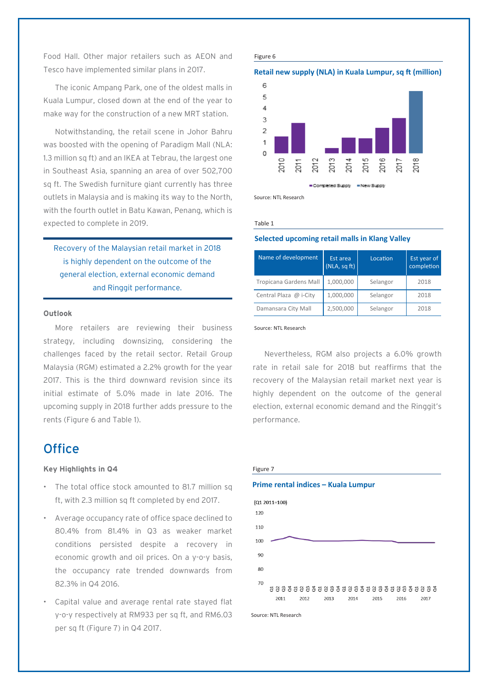Food Hall. Other major retailers such as AEON and Tesco have implemented similar plans in 2017.

The iconic Ampang Park, one of the oldest malls in Kuala Lumpur, closed down at the end of the year to make way for the construction of a new MRT station.

Notwithstanding, the retail scene in Johor Bahru was boosted with the opening of Paradigm Mall (NLA: 1.3 million sq ft) and an IKEA at Tebrau, the largest one in Southeast Asia, spanning an area of over 502,700 sq ft. The Swedish furniture giant currently has three outlets in Malaysia and is making its way to the North, with the fourth outlet in Batu Kawan, Penang, which is expected to complete in 2019.

Recovery of the Malaysian retail market in 2018 is highly dependent on the outcome of the general election, external economic demand and Ringgit performance.

#### **Outlook**

More retailers are reviewing their business strategy, including downsizing, considering the challenges faced by the retail sector. Retail Group Malaysia (RGM) estimated a 2.2% growth for the year 2017. This is the third downward revision since its initial estimate of 5.0% made in late 2016. The upcoming supply in 2018 further adds pressure to the rents (Figure 6 and Table 1).

### **Office**

#### **Key Highlights in Q4**

- The total office stock amounted to 81.7 million sq ft, with 2.3 million sq ft completed by end 2017.
- Average occupancy rate of office space declined to 80.4% from 81.4% in Q3 as weaker market conditions persisted despite a recovery in economic growth and oil prices. On a y-o-y basis, the occupancy rate trended downwards from 82.3% in Q4 2016.
- Capital value and average rental rate stayed flat y-o-y respectively at RM933 per sq ft, and RM6.03 per sq ft (Figure 7) in Q4 2017.

#### Figure 6

#### **Retail new supply (NLA) in Kuala Lumpur, sq ft (million)**



Source: NTL Research

#### Table 1

#### **Selected upcoming retail malls in Klang Valley**

| Name of development    | Est area<br>(NLA, sqft) | Location | Est year of<br>completion |
|------------------------|-------------------------|----------|---------------------------|
| Tropicana Gardens Mall | 1,000,000               | Selangor | 2018                      |
| Central Plaza @ i-City | 1,000,000               | Selangor | 2018                      |
| Damansara City Mall    | 2,500,000               | Selangor | 2018                      |

#### Source: NTL Research

Nevertheless, RGM also projects a 6.0% growth rate in retail sale for 2018 but reaffirms that the recovery of the Malaysian retail market next year is highly dependent on the outcome of the general election, external economic demand and the Ringgit's performance.





Figure 7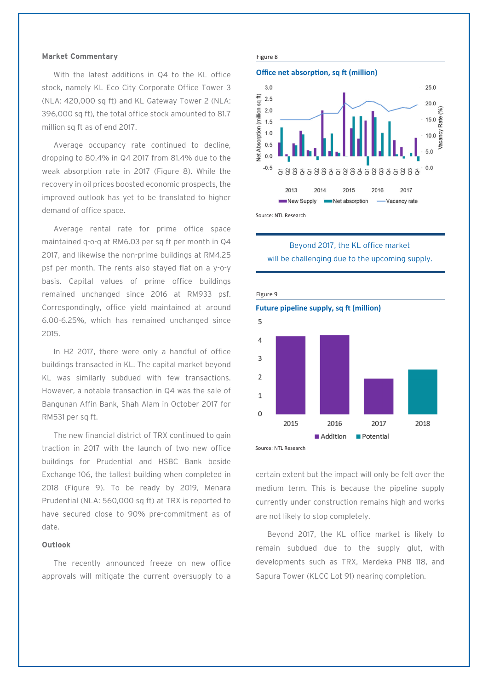#### **Market Commentary**

With the latest additions in Q4 to the KL office stock, namely KL Eco City Corporate Office Tower 3 (NLA: 420,000 sq ft) and KL Gateway Tower 2 (NLA: 396,000 sq ft), the total office stock amounted to 81.7 million sq ft as of end 2017.

Average occupancy rate continued to decline, dropping to 80.4% in Q4 2017 from 81.4% due to the weak absorption rate in 2017 (Figure 8). While the recovery in oil prices boosted economic prospects, the improved outlook has yet to be translated to higher demand of office space.

Average rental rate for prime office space maintained q-o-q at RM6.03 per sq ft per month in Q4 2017, and likewise the non-prime buildings at RM4.25 psf per month. The rents also stayed flat on a y-o-y basis. Capital values of prime office buildings remained unchanged since 2016 at RM933 psf. Correspondingly, office yield maintained at around 6.00-6.25%, which has remained unchanged since 2015.

In H2 2017, there were only a handful of office buildings transacted in KL. The capital market beyond KL was similarly subdued with few transactions. However, a notable transaction in Q4 was the sale of Bangunan Affin Bank, Shah Alam in October 2017 for RM531 per sq ft.

The new financial district of TRX continued to gain traction in 2017 with the launch of two new office buildings for Prudential and HSBC Bank beside Exchange 106, the tallest building when completed in 2018 (Figure 9). To be ready by 2019, Menara Prudential (NLA: 560,000 sq ft) at TRX is reported to have secured close to 90% pre-commitment as of date.

#### **Outlook**

The recently announced freeze on new office approvals will mitigate the current oversupply to a

#### Figure 8



Source: NTL Research

Beyond 2017, the KL office market will be challenging due to the upcoming supply.



Source: NTL Research

certain extent but the impact will only be felt over the medium term. This is because the pipeline supply currently under construction remains high and works are not likely to stop completely.

Beyond 2017, the KL office market is likely to remain subdued due to the supply glut, with developments such as TRX, Merdeka PNB 118, and Sapura Tower (KLCC Lot 91) nearing completion.